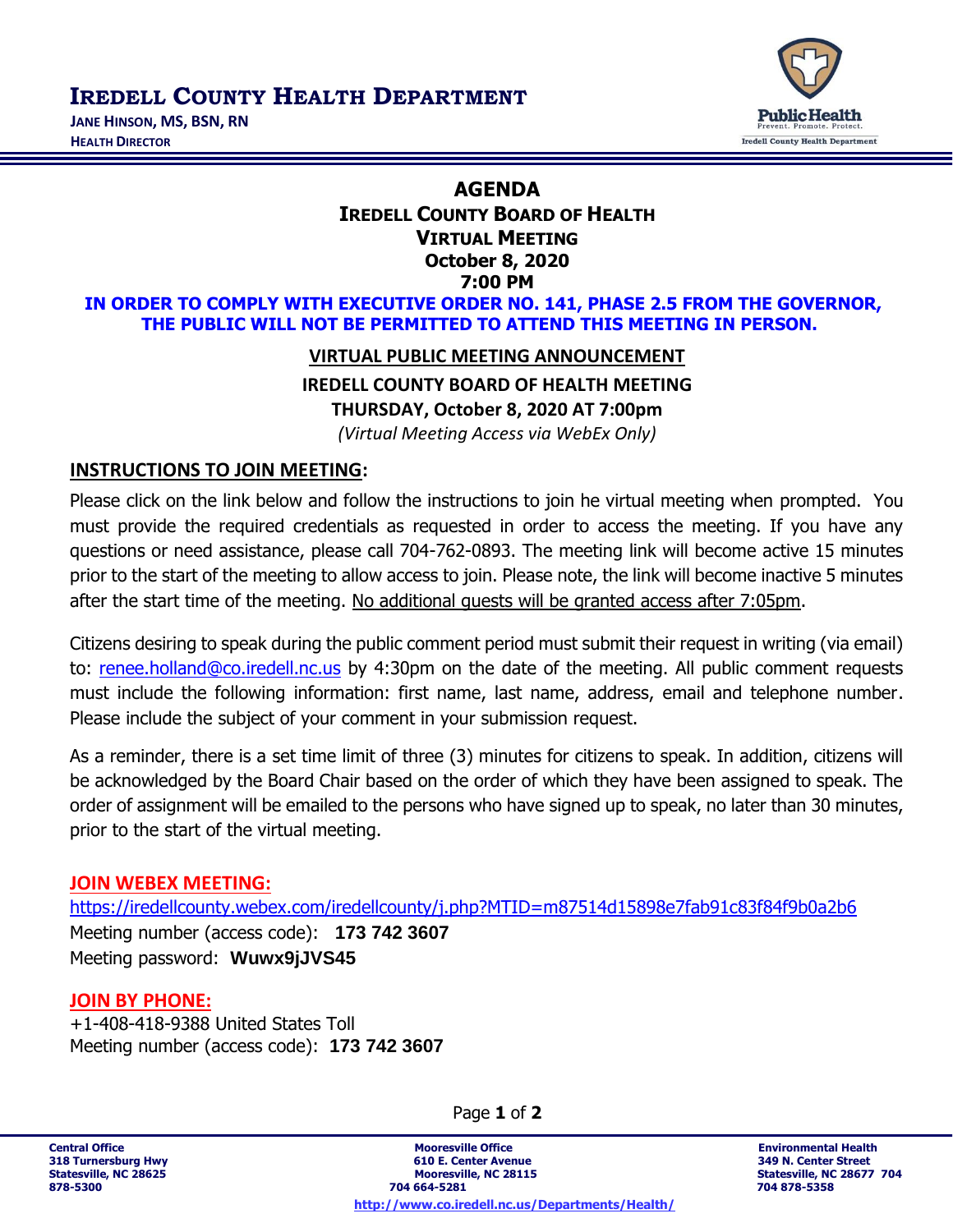**IREDELL COUNTY HEALTH DEPARTMENT** 





# **AGENDA IREDELL COUNTY BOARD OF HEALTH VIRTUAL MEETING October 8, 2020 7:00 PM**

**IN ORDER TO COMPLY WITH EXECUTIVE ORDER NO. 141, PHASE 2.5 FROM THE GOVERNOR, THE PUBLIC WILL NOT BE PERMITTED TO ATTEND THIS MEETING IN PERSON.**

## **VIRTUAL PUBLIC MEETING ANNOUNCEMENT**

**IREDELL COUNTY BOARD OF HEALTH MEETING**

**THURSDAY, October 8, 2020 AT 7:00pm**

*(Virtual Meeting Access via WebEx Only)*

## **INSTRUCTIONS TO JOIN MEETING:**

Please click on the link below and follow the instructions to join he virtual meeting when prompted. You must provide the required credentials as requested in order to access the meeting. If you have any questions or need assistance, please call 704-762-0893. The meeting link will become active 15 minutes prior to the start of the meeting to allow access to join. Please note, the link will become inactive 5 minutes after the start time of the meeting. No additional guests will be granted access after 7:05pm.

Citizens desiring to speak during the public comment period must submit their request in writing (via email) to: [renee.holland@co.iredell.nc.us](mailto:renee.holland@co.iredell.nc.us) by 4:30pm on the date of the meeting. All public comment requests must include the following information: first name, last name, address, email and telephone number. Please include the subject of your comment in your submission request.

As a reminder, there is a set time limit of three (3) minutes for citizens to speak. In addition, citizens will be acknowledged by the Board Chair based on the order of which they have been assigned to speak. The order of assignment will be emailed to the persons who have signed up to speak, no later than 30 minutes, prior to the start of the virtual meeting.

#### **JOIN WEBEX MEETING:**

<https://iredellcounty.webex.com/iredellcounty/j.php?MTID=m87514d15898e7fab91c83f84f9b0a2b6> Meeting number (access code): **173 742 3607** Meeting password: **Wuwx9jJVS45**

## **JOIN BY PHONE:**

+1-408-418-9388 United States Toll Meeting number (access code): **173 742 3607**

Page **1** of **2**